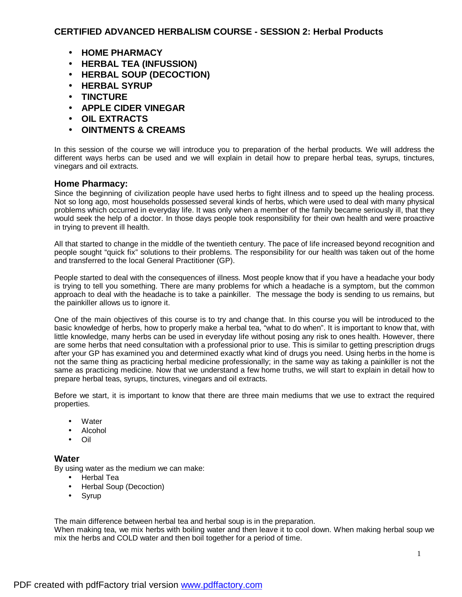- **HOME PHARMACY**
- **HERBAL TEA (INFUSSION)**
- **HERBAL SOUP (DECOCTION)**
- **HERBAL SYRUP**
- **TINCTURE**
- **APPLE CIDER VINEGAR**
- **OIL EXTRACTS**
- **OINTMENTS & CREAMS**

In this session of the course we will introduce you to preparation of the herbal products. We will address the different ways herbs can be used and we will explain in detail how to prepare herbal teas, syrups, tinctures, vinegars and oil extracts.

# **Home Pharmacy:**

Since the beginning of civilization people have used herbs to fight illness and to speed up the healing process. Not so long ago, most households possessed several kinds of herbs, which were used to deal with many physical problems which occurred in everyday life. It was only when a member of the family became seriously ill, that they would seek the help of a doctor. In those days people took responsibility for their own health and were proactive in trying to prevent ill health.

All that started to change in the middle of the twentieth century. The pace of life increased beyond recognition and people sought "quick fix" solutions to their problems. The responsibility for our health was taken out of the home and transferred to the local General Practitioner (GP).

People started to deal with the consequences of illness. Most people know that if you have a headache your body is trying to tell you something. There are many problems for which a headache is a symptom, but the common approach to deal with the headache is to take a painkiller. The message the body is sending to us remains, but the painkiller allows us to ignore it.

One of the main objectives of this course is to try and change that. In this course you will be introduced to the basic knowledge of herbs, how to properly make a herbal tea, "what to do when". It is important to know that, with little knowledge, many herbs can be used in everyday life without posing any risk to ones health. However, there are some herbs that need consultation with a professional prior to use. This is similar to getting prescription drugs after your GP has examined you and determined exactly what kind of drugs you need. Using herbs in the home is not the same thing as practicing herbal medicine professionally; in the same way as taking a painkiller is not the same as practicing medicine. Now that we understand a few home truths, we will start to explain in detail how to prepare herbal teas, syrups, tinctures, vinegars and oil extracts.

Before we start, it is important to know that there are three main mediums that we use to extract the required properties.

- **Water**
- Alcohol
- Oil

## **Water**

By using water as the medium we can make:

- Herbal Tea
- Herbal Soup (Decoction)
- Syrup

The main difference between herbal tea and herbal soup is in the preparation.

When making tea, we mix herbs with boiling water and then leave it to cool down. When making herbal soup we mix the herbs and COLD water and then boil together for a period of time.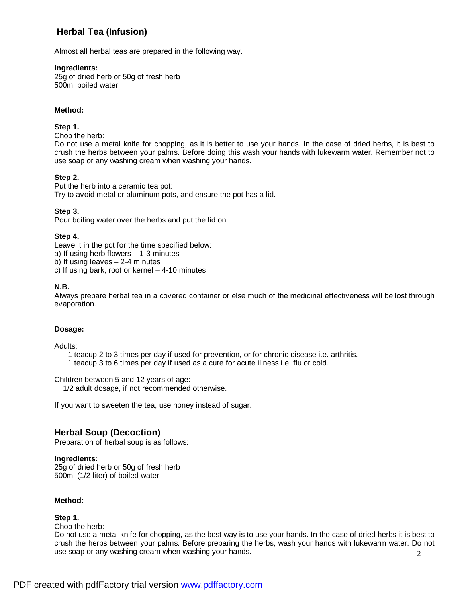# **Herbal Tea (Infusion)**

Almost all herbal teas are prepared in the following way.

### **Ingredients:**

25g of dried herb or 50g of fresh herb 500ml boiled water

### **Method:**

### **Step 1.**

Chop the herb:

Do not use a metal knife for chopping, as it is better to use your hands. In the case of dried herbs, it is best to crush the herbs between your palms. Before doing this wash your hands with lukewarm water. Remember not to use soap or any washing cream when washing your hands.

### **Step 2.**

Put the herb into a ceramic tea pot: Try to avoid metal or aluminum pots, and ensure the pot has a lid.

### **Step 3.**

Pour boiling water over the herbs and put the lid on.

### **Step 4.**

Leave it in the pot for the time specified below:

a) If using herb flowers – 1-3 minutes

b) If using leaves  $-2-4$  minutes

c) If using bark, root or kernel  $-4-10$  minutes

## **N.B.**

Always prepare herbal tea in a covered container or else much of the medicinal effectiveness will be lost through evaporation.

#### **Dosage:**

Adults:

1 teacup 2 to 3 times per day if used for prevention, or for chronic disease i.e. arthritis.

1 teacup 3 to 6 times per day if used as a cure for acute illness i.e. flu or cold.

Children between 5 and 12 years of age:

1/2 adult dosage, if not recommended otherwise.

If you want to sweeten the tea, use honey instead of sugar.

# **Herbal Soup (Decoction)**

Preparation of herbal soup is as follows:

#### **Ingredients:**

25g of dried herb or 50g of fresh herb 500ml (1/2 liter) of boiled water

#### **Method:**

#### **Step 1.**

Chop the herb:

Do not use a metal knife for chopping, as the best way is to use your hands. In the case of dried herbs it is best to crush the herbs between your palms. Before preparing the herbs, wash your hands with lukewarm water. Do not use soap or any washing cream when washing your hands.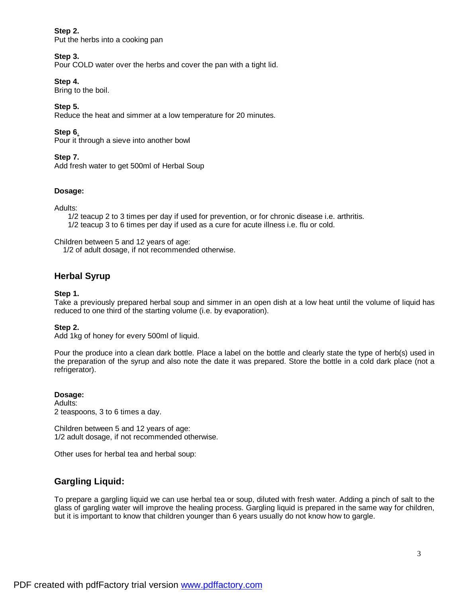### **Step 2.**

Put the herbs into a cooking pan

## **Step 3.**

Pour COLD water over the herbs and cover the pan with a tight lid.

## **Step 4.**

Bring to the boil.

## **Step 5.**

Reduce the heat and simmer at a low temperature for 20 minutes.

## **Step 6**.

Pour it through a sieve into another bowl

## **Step 7.**

Add fresh water to get 500ml of Herbal Soup

## **Dosage:**

Adults:

1/2 teacup 2 to 3 times per day if used for prevention, or for chronic disease i.e. arthritis. 1/2 teacup 3 to 6 times per day if used as a cure for acute illness i.e. flu or cold.

Children between 5 and 12 years of age:

1/2 of adult dosage, if not recommended otherwise.

# **Herbal Syrup**

## **Step 1.**

Take a previously prepared herbal soup and simmer in an open dish at a low heat until the volume of liquid has reduced to one third of the starting volume (i.e. by evaporation).

## **Step 2.**

Add 1kg of honey for every 500ml of liquid.

Pour the produce into a clean dark bottle. Place a label on the bottle and clearly state the type of herb(s) used in the preparation of the syrup and also note the date it was prepared. Store the bottle in a cold dark place (not a refrigerator).

**Dosage:**  Adults: 2 teaspoons, 3 to 6 times a day.

Children between 5 and 12 years of age: 1/2 adult dosage, if not recommended otherwise.

Other uses for herbal tea and herbal soup:

# **Gargling Liquid:**

To prepare a gargling liquid we can use herbal tea or soup, diluted with fresh water. Adding a pinch of salt to the glass of gargling water will improve the healing process. Gargling liquid is prepared in the same way for children, but it is important to know that children younger than 6 years usually do not know how to gargle.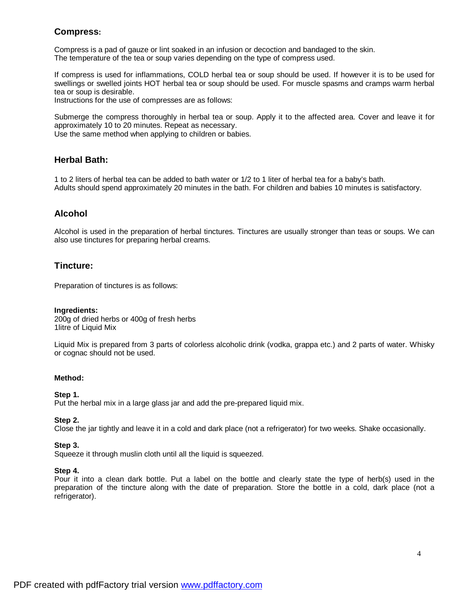# **Compress:**

Compress is a pad of gauze or lint soaked in an infusion or decoction and bandaged to the skin. The temperature of the tea or soup varies depending on the type of compress used.

If compress is used for inflammations, COLD herbal tea or soup should be used. If however it is to be used for swellings or swelled joints HOT herbal tea or soup should be used. For muscle spasms and cramps warm herbal tea or soup is desirable.

Instructions for the use of compresses are as follows:

Submerge the compress thoroughly in herbal tea or soup. Apply it to the affected area. Cover and leave it for approximately 10 to 20 minutes. Repeat as necessary.

Use the same method when applying to children or babies.

# **Herbal Bath:**

1 to 2 liters of herbal tea can be added to bath water or 1/2 to 1 liter of herbal tea for a baby's bath. Adults should spend approximately 20 minutes in the bath. For children and babies 10 minutes is satisfactory.

# **Alcohol**

Alcohol is used in the preparation of herbal tinctures. Tinctures are usually stronger than teas or soups. We can also use tinctures for preparing herbal creams.

# **Tincture:**

Preparation of tinctures is as follows:

#### **Ingredients:**

200g of dried herbs or 400g of fresh herbs 1litre of Liquid Mix

Liquid Mix is prepared from 3 parts of colorless alcoholic drink (vodka, grappa etc.) and 2 parts of water. Whisky or cognac should not be used.

#### **Method:**

#### **Step 1.**

Put the herbal mix in a large glass jar and add the pre-prepared liquid mix.

#### **Step 2.**

Close the jar tightly and leave it in a cold and dark place (not a refrigerator) for two weeks. Shake occasionally.

#### **Step 3.**

Squeeze it through muslin cloth until all the liquid is squeezed.

#### **Step 4.**

Pour it into a clean dark bottle. Put a label on the bottle and clearly state the type of herb(s) used in the preparation of the tincture along with the date of preparation. Store the bottle in a cold, dark place (not a refrigerator).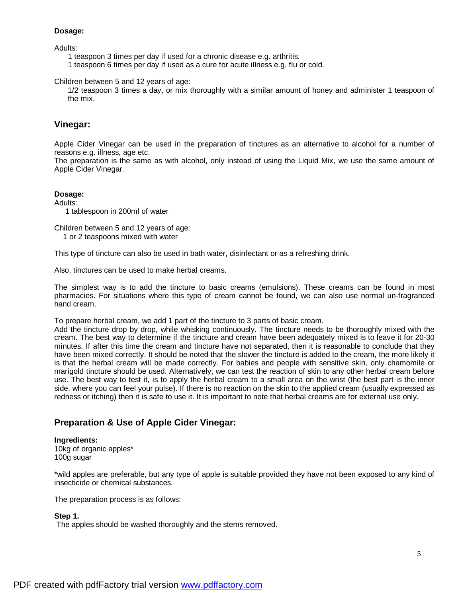#### **Dosage:**

Adults:

- 1 teaspoon 3 times per day if used for a chronic disease e.g. arthritis.
- 1 teaspoon 6 times per day if used as a cure for acute illness e.g. flu or cold.

Children between 5 and 12 years of age:

1/2 teaspoon 3 times a day, or mix thoroughly with a similar amount of honey and administer 1 teaspoon of the mix.

# **Vinegar:**

Apple Cider Vinegar can be used in the preparation of tinctures as an alternative to alcohol for a number of reasons e.g. illness, age etc.

The preparation is the same as with alcohol, only instead of using the Liquid Mix, we use the same amount of Apple Cider Vinegar.

#### **Dosage:**

Adults: 1 tablespoon in 200ml of water

Children between 5 and 12 years of age:

1 or 2 teaspoons mixed with water

This type of tincture can also be used in bath water, disinfectant or as a refreshing drink.

Also, tinctures can be used to make herbal creams.

The simplest way is to add the tincture to basic creams (emulsions). These creams can be found in most pharmacies. For situations where this type of cream cannot be found, we can also use normal un-fragranced hand cream.

To prepare herbal cream, we add 1 part of the tincture to 3 parts of basic cream.

Add the tincture drop by drop, while whisking continuously. The tincture needs to be thoroughly mixed with the cream. The best way to determine if the tincture and cream have been adequately mixed is to leave it for 20-30 minutes. If after this time the cream and tincture have not separated, then it is reasonable to conclude that they have been mixed correctly. It should be noted that the slower the tincture is added to the cream, the more likely it is that the herbal cream will be made correctly. For babies and people with sensitive skin, only chamomile or marigold tincture should be used. Alternatively, we can test the reaction of skin to any other herbal cream before use. The best way to test it, is to apply the herbal cream to a small area on the wrist (the best part is the inner side, where you can feel your pulse). If there is no reaction on the skin to the applied cream (usually expressed as redness or itching) then it is safe to use it. It is important to note that herbal creams are for external use only.

# **Preparation & Use of Apple Cider Vinegar:**

#### **Ingredients:**

10kg of organic apples\* 100g sugar

\*wild apples are preferable, but any type of apple is suitable provided they have not been exposed to any kind of insecticide or chemical substances.

The preparation process is as follows:

#### **Step 1.**

The apples should be washed thoroughly and the stems removed.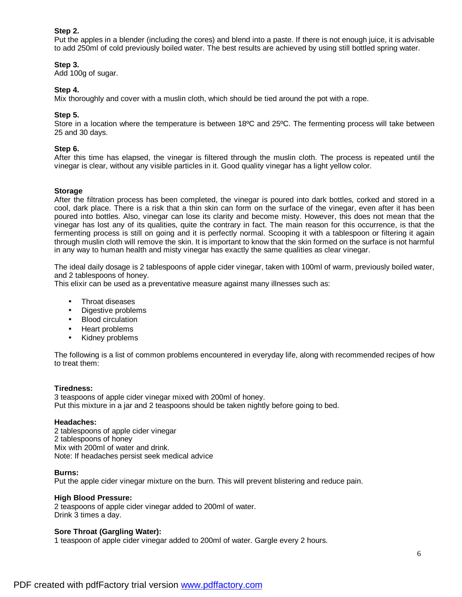### **Step 2.**

Put the apples in a blender (including the cores) and blend into a paste. If there is not enough juice, it is advisable to add 250ml of cold previously boiled water. The best results are achieved by using still bottled spring water.

### **Step 3.**

Add 100g of sugar.

### **Step 4.**

Mix thoroughly and cover with a muslin cloth, which should be tied around the pot with a rope.

### **Step 5.**

Store in a location where the temperature is between 18ºC and 25ºC. The fermenting process will take between 25 and 30 days.

#### **Step 6.**

After this time has elapsed, the vinegar is filtered through the muslin cloth. The process is repeated until the vinegar is clear, without any visible particles in it. Good quality vinegar has a light yellow color.

#### **Storage**

After the filtration process has been completed, the vinegar is poured into dark bottles, corked and stored in a cool, dark place. There is a risk that a thin skin can form on the surface of the vinegar, even after it has been poured into bottles. Also, vinegar can lose its clarity and become misty. However, this does not mean that the vinegar has lost any of its qualities, quite the contrary in fact. The main reason for this occurrence, is that the fermenting process is still on going and it is perfectly normal. Scooping it with a tablespoon or filtering it again through muslin cloth will remove the skin. It is important to know that the skin formed on the surface is not harmful in any way to human health and misty vinegar has exactly the same qualities as clear vinegar.

The ideal daily dosage is 2 tablespoons of apple cider vinegar, taken with 100ml of warm, previously boiled water, and 2 tablespoons of honey.

This elixir can be used as a preventative measure against many illnesses such as:

- Throat diseases
- Digestive problems
- Blood circulation
- Heart problems
- Kidney problems

The following is a list of common problems encountered in everyday life, along with recommended recipes of how to treat them:

#### **Tiredness:**

3 teaspoons of apple cider vinegar mixed with 200ml of honey. Put this mixture in a jar and 2 teaspoons should be taken nightly before going to bed.

#### **Headaches:**

2 tablespoons of apple cider vinegar 2 tablespoons of honey Mix with 200ml of water and drink. Note: If headaches persist seek medical advice

#### **Burns:**

Put the apple cider vinegar mixture on the burn. This will prevent blistering and reduce pain.

#### **High Blood Pressure:**

2 teaspoons of apple cider vinegar added to 200ml of water. Drink 3 times a day.

#### **Sore Throat (Gargling Water):**

1 teaspoon of apple cider vinegar added to 200ml of water. Gargle every 2 hours.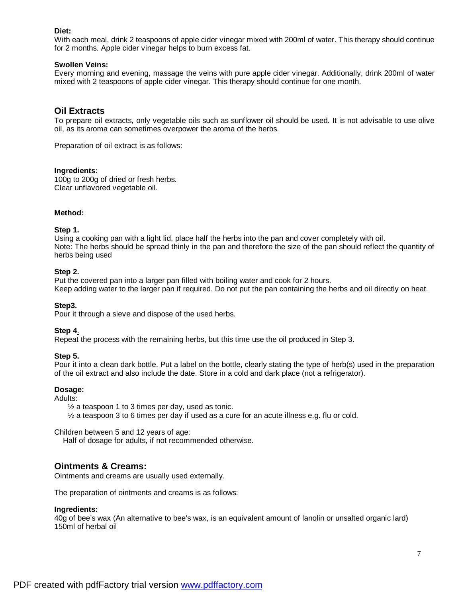### **Diet:**

With each meal, drink 2 teaspoons of apple cider vinegar mixed with 200ml of water. This therapy should continue for 2 months. Apple cider vinegar helps to burn excess fat.

### **Swollen Veins:**

Every morning and evening, massage the veins with pure apple cider vinegar. Additionally, drink 200ml of water mixed with 2 teaspoons of apple cider vinegar. This therapy should continue for one month.

## **Oil Extracts**

To prepare oil extracts, only vegetable oils such as sunflower oil should be used. It is not advisable to use olive oil, as its aroma can sometimes overpower the aroma of the herbs.

Preparation of oil extract is as follows:

#### **Ingredients:**

100g to 200g of dried or fresh herbs. Clear unflavored vegetable oil.

#### **Method:**

#### **Step 1.**

Using a cooking pan with a light lid, place half the herbs into the pan and cover completely with oil. Note: The herbs should be spread thinly in the pan and therefore the size of the pan should reflect the quantity of herbs being used

#### **Step 2.**

Put the covered pan into a larger pan filled with boiling water and cook for 2 hours. Keep adding water to the larger pan if required. Do not put the pan containing the herbs and oil directly on heat.

#### **Step3.**

Pour it through a sieve and dispose of the used herbs.

#### **Step 4**.

Repeat the process with the remaining herbs, but this time use the oil produced in Step 3.

#### **Step 5.**

Pour it into a clean dark bottle. Put a label on the bottle, clearly stating the type of herb(s) used in the preparation of the oil extract and also include the date. Store in a cold and dark place (not a refrigerator).

#### **Dosage:**

Adults:

½ a teaspoon 1 to 3 times per day, used as tonic.

 $\frac{1}{2}$  a teaspoon 3 to 6 times per day if used as a cure for an acute illness e.g. flu or cold.

Children between 5 and 12 years of age:

Half of dosage for adults, if not recommended otherwise.

## **Ointments & Creams:**

Ointments and creams are usually used externally.

The preparation of ointments and creams is as follows:

#### **Ingredients:**

40g of bee's wax (An alternative to bee's wax, is an equivalent amount of lanolin or unsalted organic lard) 150ml of herbal oil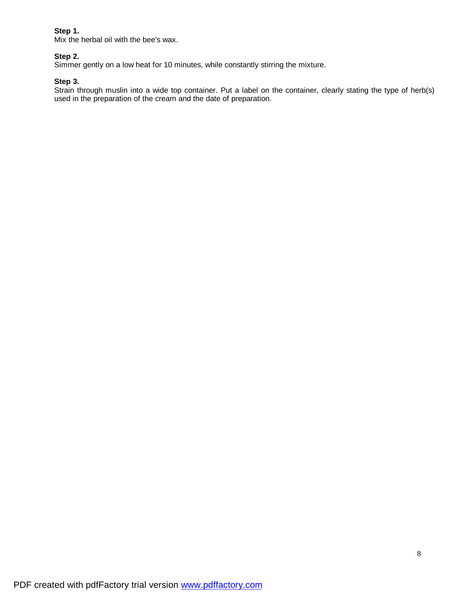## **Step 1.**

Mix the herbal oil with the bee's wax.

## **Step 2.**

Simmer gently on a low heat for 10 minutes, while constantly stirring the mixture.

### **Step 3.**

Strain through muslin into a wide top container. Put a label on the container, clearly stating the type of herb(s) used in the preparation of the cream and the date of preparation.